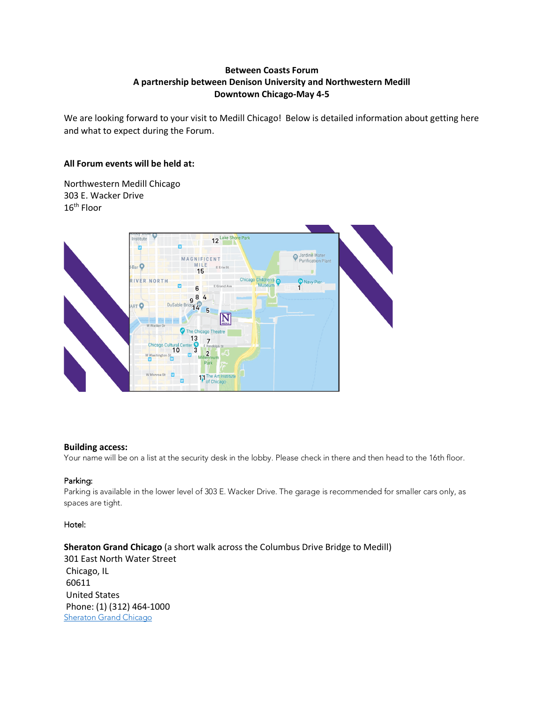# **Between Coasts Forum A partnership between Denison University and Northwestern Medill Downtown Chicago-May 4-5**

 We are looking forward to your visit to Medill Chicago! Below is detailed information about getting here and what to expect during the Forum.

# **All Forum events will be held at:**

 303 E. Wacker Drive  $16^{\text{th}}$  Floor Northwestern Medill Chicago



#### **Building access:**

Your name will be on a list at the security desk in the lobby. Please check in there and then head to the 16th floor.

## Parking:

 Parking is available in the lower level of 303 E. Wacker Drive. The garage is recommended for smaller cars only, as spaces are tight.

#### Hotel:

 **Sheraton Grand Chicago** (a short walk across the Columbus Drive Bridge to Medill) 301 East North Water Street Chicago, IL 60611 Phone: (1) (312) 464-1000 United States Sheraton Grand Chicago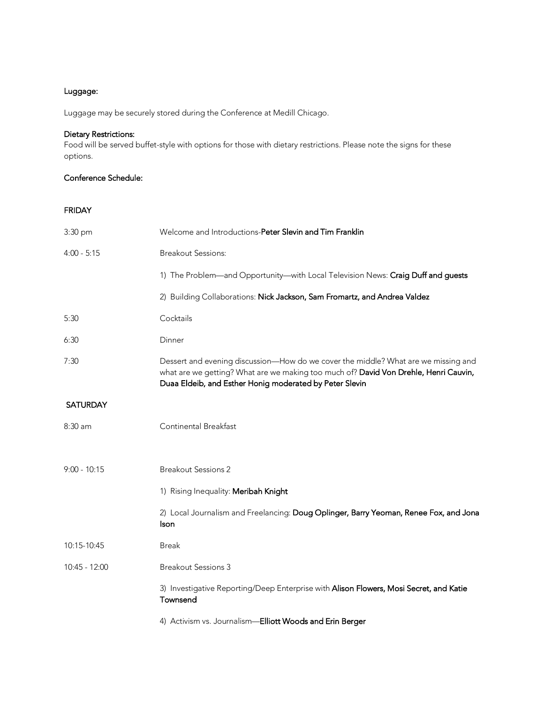# Luggage:

Luggage may be securely stored during the Conference at Medill Chicago.

### Dietary Restrictions:

 Food will be served buffet-style with options for those with dietary restrictions. Please note the signs for these options.

#### Conference Schedule:

FRIDAY

| 3:30 pm         | Welcome and Introductions-Peter Slevin and Tim Franklin                                                                                                                                                                               |
|-----------------|---------------------------------------------------------------------------------------------------------------------------------------------------------------------------------------------------------------------------------------|
| $4:00 - 5:15$   | <b>Breakout Sessions:</b>                                                                                                                                                                                                             |
|                 | 1) The Problem—and Opportunity—with Local Television News: Craig Duff and guests                                                                                                                                                      |
|                 | 2) Building Collaborations: Nick Jackson, Sam Fromartz, and Andrea Valdez                                                                                                                                                             |
| 5:30            | Cocktails                                                                                                                                                                                                                             |
| 6:30            | Dinner                                                                                                                                                                                                                                |
| 7:30            | Dessert and evening discussion—How do we cover the middle? What are we missing and<br>what are we getting? What are we making too much of? David Von Drehle, Henri Cauvin,<br>Duaa Eldeib, and Esther Honig moderated by Peter Slevin |
| <b>SATURDAY</b> |                                                                                                                                                                                                                                       |
| 8:30 am         | Continental Breakfast                                                                                                                                                                                                                 |
| $9:00 - 10:15$  | <b>Breakout Sessions 2</b>                                                                                                                                                                                                            |
|                 | 1) Rising Inequality: Meribah Knight                                                                                                                                                                                                  |
|                 | 2) Local Journalism and Freelancing: Doug Oplinger, Barry Yeoman, Renee Fox, and Jona<br>Ison                                                                                                                                         |
| 10:15-10:45     | <b>Break</b>                                                                                                                                                                                                                          |
| 10:45 - 12:00   | <b>Breakout Sessions 3</b>                                                                                                                                                                                                            |
|                 | 3) Investigative Reporting/Deep Enterprise with Alison Flowers, Mosi Secret, and Katie<br>Townsend                                                                                                                                    |
|                 | 4) Activism vs. Journalism-Elliott Woods and Erin Berger                                                                                                                                                                              |